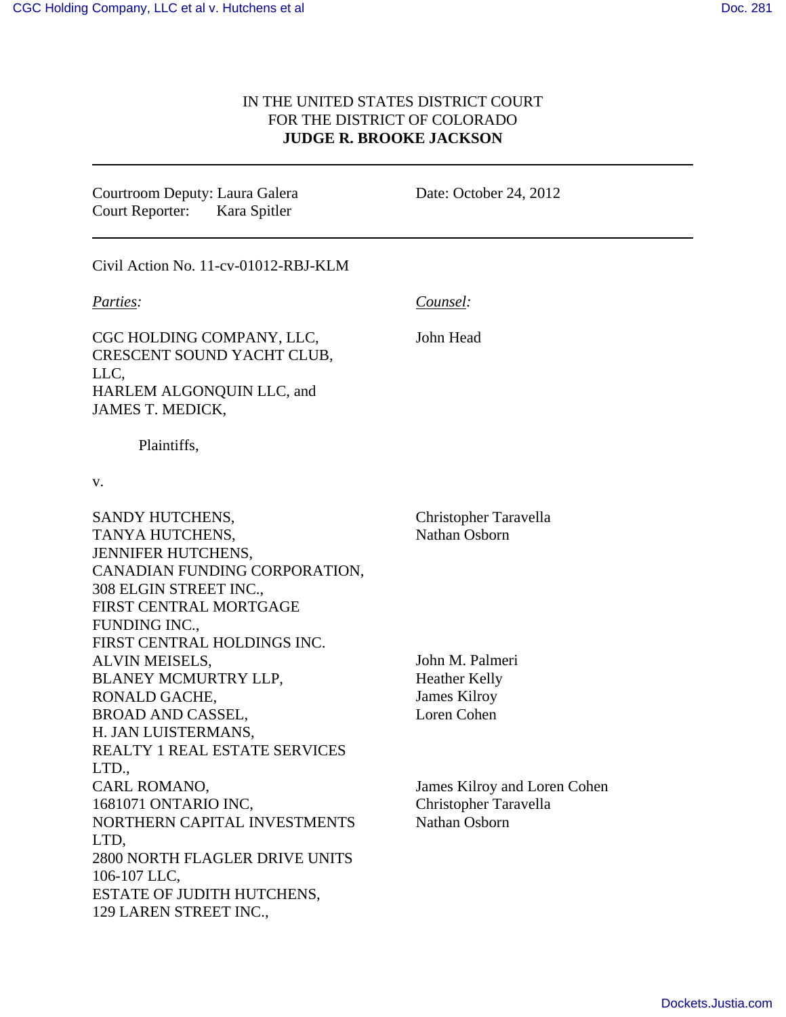## IN THE UNITED STATES DISTRICT COURT FOR THE DISTRICT OF COLORADO **JUDGE R. BROOKE JACKSON**

Courtroom Deputy: Laura Galera Court Reporter: Kara Spitler

Date: October 24, 2012

Civil Action No. 11-cv-01012-RBJ-KLM

*Parties:*

*Counsel:*

John Head

CGC HOLDING COMPANY, LLC, CRESCENT SOUND YACHT CLUB, LLC, HARLEM ALGONQUIN LLC, and JAMES T. MEDICK,

Plaintiffs,

v.

SANDY HUTCHENS, TANYA HUTCHENS, JENNIFER HUTCHENS, CANADIAN FUNDING CORPORATION, 308 ELGIN STREET INC., FIRST CENTRAL MORTGAGE FUNDING INC., FIRST CENTRAL HOLDINGS INC. ALVIN MEISELS, BLANEY MCMURTRY LLP, RONALD GACHE, BROAD AND CASSEL, H. JAN LUISTERMANS, REALTY 1 REAL ESTATE SERVICES LTD., CARL ROMANO, 1681071 ONTARIO INC, NORTHERN CAPITAL INVESTMENTS LTD, 2800 NORTH FLAGLER DRIVE UNITS 106-107 LLC, ESTATE OF JUDITH HUTCHENS, 129 LAREN STREET INC., Christopher Taravella Nathan Osborn John M. Palmeri Heather Kelly James Kilroy Loren Cohen James Kilroy and Loren Cohen Christopher Taravella Nathan Osborn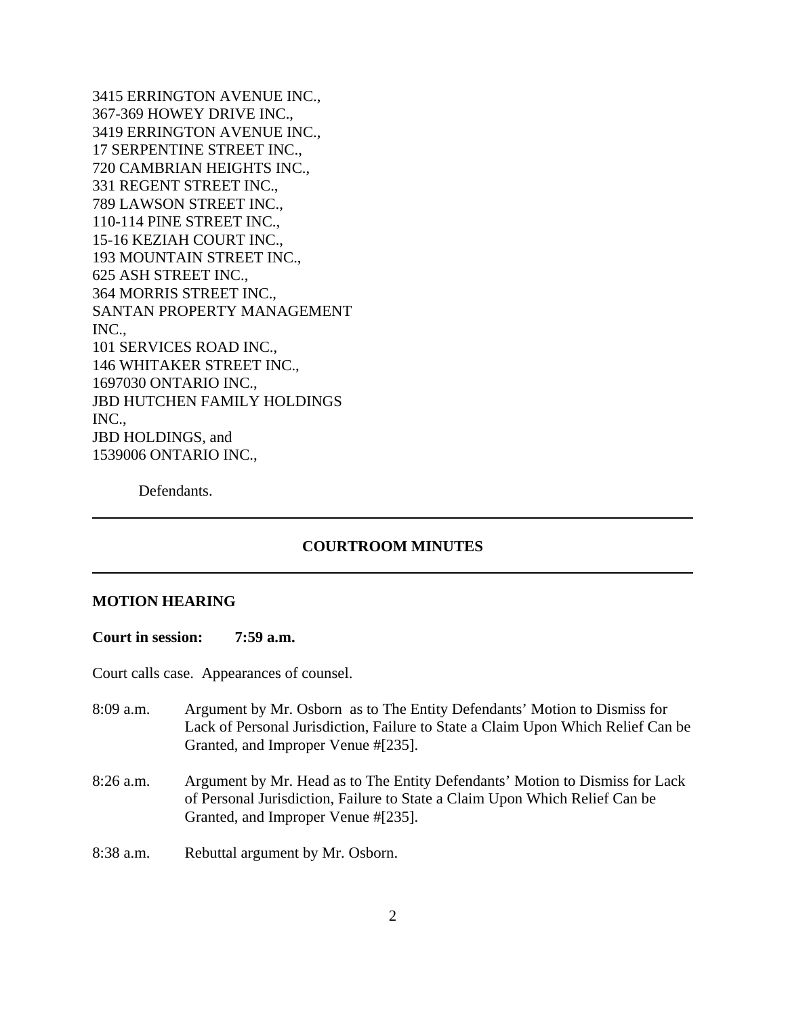3415 ERRINGTON AVENUE INC., 367-369 HOWEY DRIVE INC., 3419 ERRINGTON AVENUE INC., 17 SERPENTINE STREET INC., 720 CAMBRIAN HEIGHTS INC., 331 REGENT STREET INC., 789 LAWSON STREET INC., 110-114 PINE STREET INC., 15-16 KEZIAH COURT INC., 193 MOUNTAIN STREET INC., 625 ASH STREET INC., 364 MORRIS STREET INC., SANTAN PROPERTY MANAGEMENT INC., 101 SERVICES ROAD INC., 146 WHITAKER STREET INC., 1697030 ONTARIO INC., JBD HUTCHEN FAMILY HOLDINGS INC., JBD HOLDINGS, and 1539006 ONTARIO INC.,

Defendants.

## **COURTROOM MINUTES**

## **MOTION HEARING**

**Court in session: 7:59 a.m.**

Court calls case. Appearances of counsel.

- 8:09 a.m. Argument by Mr. Osborn as to The Entity Defendants' Motion to Dismiss for Lack of Personal Jurisdiction, Failure to State a Claim Upon Which Relief Can be Granted, and Improper Venue #[235].
- 8:26 a.m. Argument by Mr. Head as to The Entity Defendants' Motion to Dismiss for Lack of Personal Jurisdiction, Failure to State a Claim Upon Which Relief Can be Granted, and Improper Venue #[235].
- 8:38 a.m. Rebuttal argument by Mr. Osborn.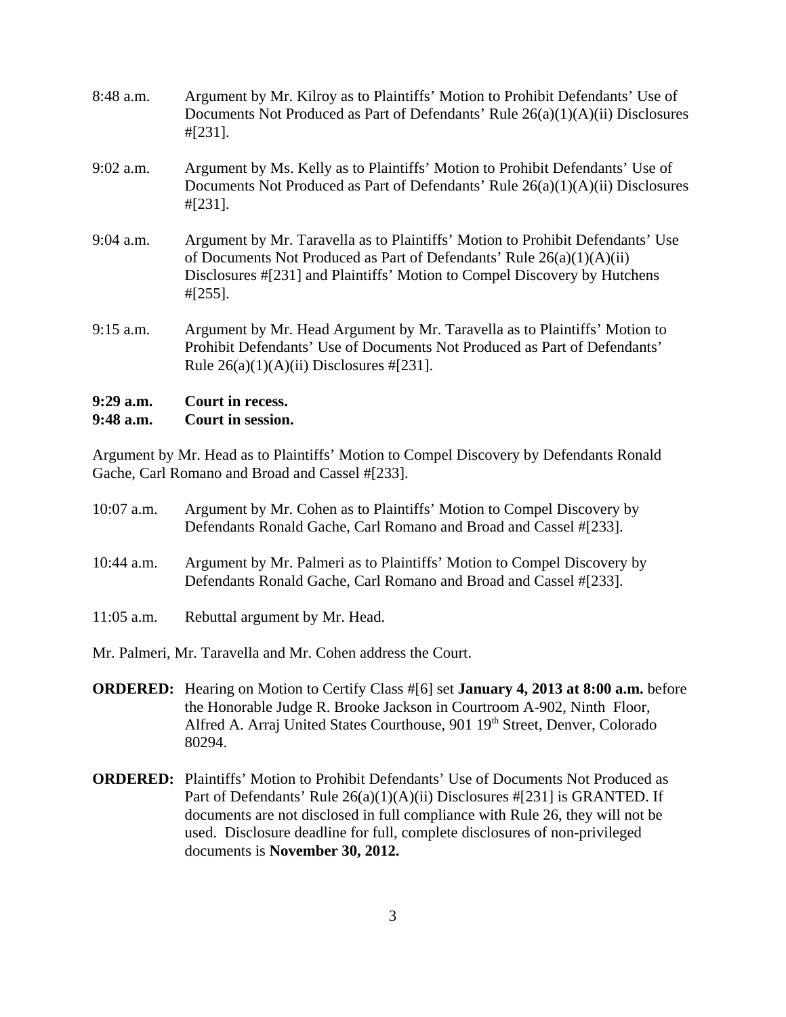| $9:29$ a.m.<br>9:48 a.m. | Court in recess.<br>Court in session.                                                                                                                                                                                                                 |
|--------------------------|-------------------------------------------------------------------------------------------------------------------------------------------------------------------------------------------------------------------------------------------------------|
| $9:15$ a.m.              | Argument by Mr. Head Argument by Mr. Taravella as to Plaintiffs' Motion to<br>Prohibit Defendants' Use of Documents Not Produced as Part of Defendants'<br>Rule $26(a)(1)(A)(ii)$ Disclosures #[231].                                                 |
| $9:04$ a.m.              | Argument by Mr. Taravella as to Plaintiffs' Motion to Prohibit Defendants' Use<br>of Documents Not Produced as Part of Defendants' Rule $26(a)(1)(A)(ii)$<br>Disclosures #[231] and Plaintiffs' Motion to Compel Discovery by Hutchens<br>$\#[255]$ . |
| $9:02$ a.m.              | Argument by Ms. Kelly as to Plaintiffs' Motion to Prohibit Defendants' Use of<br>Documents Not Produced as Part of Defendants' Rule $26(a)(1)(A)(ii)$ Disclosures<br>$\#$ [231].                                                                      |
| $8:48$ a.m.              | Argument by Mr. Kilroy as to Plaintiffs' Motion to Prohibit Defendants' Use of<br>Documents Not Produced as Part of Defendants' Rule $26(a)(1)(A)(ii)$ Disclosures<br>$\#$ [231].                                                                     |

Argument by Mr. Head as to Plaintiffs' Motion to Compel Discovery by Defendants Ronald Gache, Carl Romano and Broad and Cassel #[233].

| $10:07$ a.m.                                                | Argument by Mr. Cohen as to Plaintiffs' Motion to Compel Discovery by<br>Defendants Ronald Gache, Carl Romano and Broad and Cassel #[233].   |  |
|-------------------------------------------------------------|----------------------------------------------------------------------------------------------------------------------------------------------|--|
| $10:44$ a.m.                                                | Argument by Mr. Palmeri as to Plaintiffs' Motion to Compel Discovery by<br>Defendants Ronald Gache, Carl Romano and Broad and Cassel #[233]. |  |
| $11:05$ a.m.                                                | Rebuttal argument by Mr. Head.                                                                                                               |  |
| Mr. Palmeri, Mr. Taravella and Mr. Cohen address the Court. |                                                                                                                                              |  |

- **ORDERED:** Hearing on Motion to Certify Class #[6] set **January 4, 2013 at 8:00 a.m.** before the Honorable Judge R. Brooke Jackson in Courtroom A-902, Ninth Floor, Alfred A. Arraj United States Courthouse, 901 19<sup>th</sup> Street, Denver, Colorado 80294.
- **ORDERED:** Plaintiffs' Motion to Prohibit Defendants' Use of Documents Not Produced as Part of Defendants' Rule 26(a)(1)(A)(ii) Disclosures #[231] is GRANTED. If documents are not disclosed in full compliance with Rule 26, they will not be used. Disclosure deadline for full, complete disclosures of non-privileged documents is **November 30, 2012.**